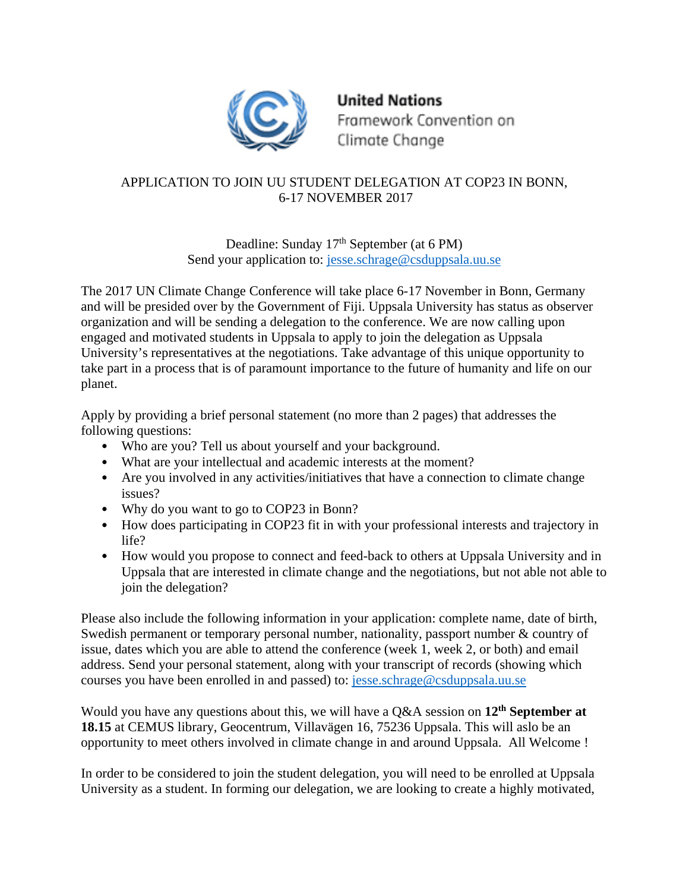

**United Nations** Framework Convention on Climate Change

## APPLICATION TO JOIN UU STUDENT DELEGATION AT COP23 IN BONN, 6-17 NOVEMBER 2017

Deadline: Sunday 17<sup>th</sup> September (at 6 PM) Send your application to: [jesse.schrage@csduppsala.uu.se](mailto:jesse.schrage@csduppsala.uu.se)

The 2017 UN Climate Change Conference will take place 6-17 November in Bonn, Germany and will be presided over by the Government of Fiji. Uppsala University has status as observer organization and will be sending a delegation to the conference. We are now calling upon engaged and motivated students in Uppsala to apply to join the delegation as Uppsala University's representatives at the negotiations. Take advantage of this unique opportunity to take part in a process that is of paramount importance to the future of humanity and life on our planet.

Apply by providing a brief personal statement (no more than 2 pages) that addresses the following questions:

- Who are you? Tell us about yourself and your background.
- What are your intellectual and academic interests at the moment?
- Are you involved in any activities/initiatives that have a connection to climate change issues?
- Why do you want to go to COP23 in Bonn?
- How does participating in COP23 fit in with your professional interests and trajectory in life?
- How would you propose to connect and feed-back to others at Uppsala University and in Uppsala that are interested in climate change and the negotiations, but not able not able to join the delegation?

Please also include the following information in your application: complete name, date of birth, Swedish permanent or temporary personal number, nationality, passport number & country of issue, dates which you are able to attend the conference (week 1, week 2, or both) and email address. Send your personal statement, along with your transcript of records (showing which courses you have been enrolled in and passed) to: [jesse.schrage@csduppsala.uu.se](mailto:jesse.schrage@csduppsala.uu.se)

Would you have any questions about this, we will have a Q&A session on **12th September at 18.15** at CEMUS library, Geocentrum, Villavägen 16, 75236 Uppsala. This will aslo be an opportunity to meet others involved in climate change in and around Uppsala. All Welcome !

In order to be considered to join the student delegation, you will need to be enrolled at Uppsala University as a student. In forming our delegation, we are looking to create a highly motivated,